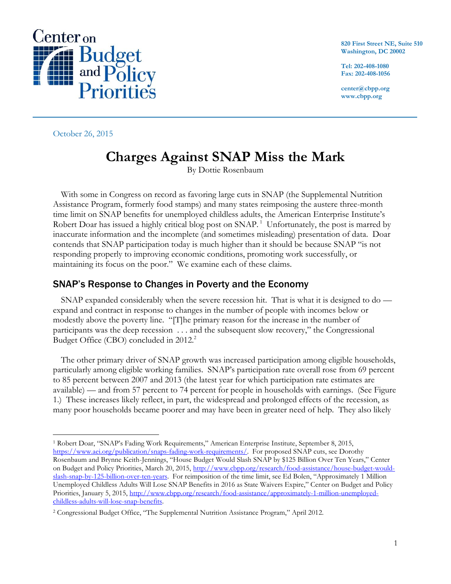

**820 First Street NE, Suite 510 Washington, DC 20002**

**Tel: 202-408-1080 Fax: 202-408-1056**

**center@cbpp.org www.cbpp.org**

October 26, 2015

# **Charges Against SNAP Miss the Mark**

By Dottie Rosenbaum

With some in Congress on record as favoring large cuts in SNAP (the Supplemental Nutrition Assistance Program, formerly food stamps) and many states reimposing the austere three-month time limit on SNAP benefits for unemployed childless adults, the American Enterprise Institute's Robert Doar has issued a highly critical blog post on SNAP.<sup>1</sup> Unfortunately, the post is marred by inaccurate information and the incomplete (and sometimes misleading) presentation of data. Doar contends that SNAP participation today is much higher than it should be because SNAP "is not responding properly to improving economic conditions, promoting work successfully, or maintaining its focus on the poor." We examine each of these claims.

### SNAP's Response to Changes in Poverty and the Economy

SNAP expanded considerably when the severe recession hit. That is what it is designed to do expand and contract in response to changes in the number of people with incomes below or modestly above the poverty line. "[T]he primary reason for the increase in the number of participants was the deep recession . . . and the subsequent slow recovery," the Congressional Budget Office (CBO) concluded in 2012.<sup>2</sup>

The other primary driver of SNAP growth was increased participation among eligible households, particularly among eligible working families. SNAP's participation rate overall rose from 69 percent to 85 percent between 2007 and 2013 (the latest year for which participation rate estimates are available) — and from 57 percent to 74 percent for people in households with earnings. (See Figure 1.) These increases likely reflect, in part, the widespread and prolonged effects of the recession, as many poor households became poorer and may have been in greater need of help. They also likely

 $\overline{a}$ <sup>1</sup> Robert Doar, "SNAP's Fading Work Requirements," American Enterprise Institute, September 8, 2015, [https://www.aei.org/publication/snaps-fading-work-requirements/.](https://www.aei.org/publication/snaps-fading-work-requirements/) For proposed SNAP cuts, see Dorothy Rosenbaum and Brynne Keith-Jennings, "House Budget Would Slash SNAP by \$125 Billion Over Ten Years," Center on Budget and Policy Priorities, March 20, 2015, [http://www.cbpp.org/research/food-assistance/house-budget-would](http://www.cbpp.org/research/food-assistance/house-budget-would-slash-snap-by-125-billion-over-ten-years)[slash-snap-by-125-billion-over-ten-years](http://www.cbpp.org/research/food-assistance/house-budget-would-slash-snap-by-125-billion-over-ten-years). For reimposition of the time limit, see Ed Bolen, "Approximately 1 Million Unemployed Childless Adults Will Lose SNAP Benefits in 2016 as State Waivers Expire," Center on Budget and Policy Priorities, January 5, 2015, [http://www.cbpp.org/research/food-assistance/approximately-1-million-unemployed](http://www.cbpp.org/research/food-assistance/approximately-1-million-unemployed-childless-adults-will-lose-snap-benefits)[childless-adults-will-lose-snap-benefits.](http://www.cbpp.org/research/food-assistance/approximately-1-million-unemployed-childless-adults-will-lose-snap-benefits)

<sup>2</sup> Congressional Budget Office, "The Supplemental Nutrition Assistance Program," April 2012.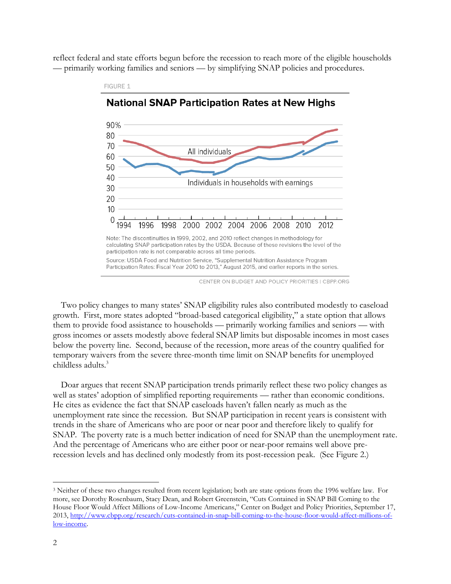reflect federal and state efforts begun before the recession to reach more of the eligible households — primarily working families and seniors — by simplifying SNAP policies and procedures.



**National SNAP Participation Rates at New Highs** 

FIGURE 1

CENTER ON BUDGET AND POLICY PRIORITIES | CBPP.ORG

Two policy changes to many states' SNAP eligibility rules also contributed modestly to caseload growth. First, more states adopted "broad-based categorical eligibility," a state option that allows them to provide food assistance to households — primarily working families and seniors — with gross incomes or assets modestly above federal SNAP limits but disposable incomes in most cases below the poverty line. Second, because of the recession, more areas of the country qualified for temporary waivers from the severe three-month time limit on SNAP benefits for unemployed childless adults.<sup>3</sup>

Doar argues that recent SNAP participation trends primarily reflect these two policy changes as well as states' adoption of simplified reporting requirements — rather than economic conditions. He cites as evidence the fact that SNAP caseloads haven't fallen nearly as much as the unemployment rate since the recession. But SNAP participation in recent years is consistent with trends in the share of Americans who are poor or near poor and therefore likely to qualify for SNAP. The poverty rate is a much better indication of need for SNAP than the unemployment rate. And the percentage of Americans who are either poor or near-poor remains well above prerecession levels and has declined only modestly from its post-recession peak. (See Figure 2.)

<sup>3</sup> Neither of these two changes resulted from recent legislation; both are state options from the 1996 welfare law. For more, see Dorothy Rosenbaum, Stacy Dean, and Robert Greenstein, "Cuts Contained in SNAP Bill Coming to the House Floor Would Affect Millions of Low-Income Americans," Center on Budget and Policy Priorities, September 17, 2013, [http://www.cbpp.org/research/cuts-contained-in-snap-bill-coming-to-the-house-floor-would-affect-millions-of](http://www.cbpp.org/research/cuts-contained-in-snap-bill-coming-to-the-house-floor-would-affect-millions-of-low-income)[low-income.](http://www.cbpp.org/research/cuts-contained-in-snap-bill-coming-to-the-house-floor-would-affect-millions-of-low-income)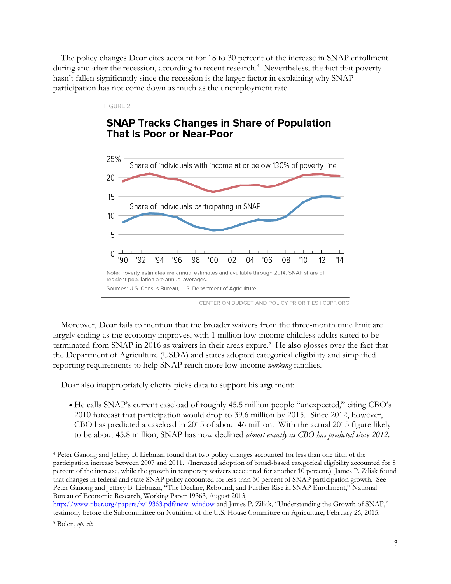The policy changes Doar cites account for 18 to 30 percent of the increase in SNAP enrollment during and after the recession, according to recent research.<sup>4</sup> Nevertheless, the fact that poverty hasn't fallen significantly since the recession is the larger factor in explaining why SNAP participation has not come down as much as the unemployment rate.



CENTER ON BUDGET AND POLICY PRIORITIES I CBPP.ORG

Moreover, Doar fails to mention that the broader waivers from the three-month time limit are largely ending as the economy improves, with 1 million low-income childless adults slated to be terminated from SNAP in 2016 as waivers in their areas expire.<sup>5</sup> He also glosses over the fact that the Department of Agriculture (USDA) and states adopted categorical eligibility and simplified reporting requirements to help SNAP reach more low-income *working* families.

Doar also inappropriately cherry picks data to support his argument:

 He calls SNAP's current caseload of roughly 45.5 million people "unexpected," citing CBO's 2010 forecast that participation would drop to 39.6 million by 2015. Since 2012, however, CBO has predicted a caseload in 2015 of about 46 million. With the actual 2015 figure likely to be about 45.8 million, SNAP has now declined *almost exactly as CBO has predicted since 2012.* 

<sup>4</sup> Peter Ganong and Jeffrey B. Liebman found that two policy changes accounted for less than one fifth of the participation increase between 2007 and 2011. (Increased adoption of broad-based categorical eligibility accounted for 8 percent of the increase, while the growth in temporary waivers accounted for another 10 percent.) James P. Ziliak found that changes in federal and state SNAP policy accounted for less than 30 percent of SNAP participation growth. See Peter Ganong and Jeffrey B. Liebman, "The Decline, Rebound, and Further Rise in SNAP Enrollment," National Bureau of Economic Research, Working Paper 19363, August 2013,

[http://www.nber.org/papers/w19363.pdf?new\\_window](http://www.nber.org/papers/w19363.pdf?new_window) and James P. Ziliak, "Understanding the Growth of SNAP," testimony before the Subcommittee on Nutrition of the U.S. House Committee on Agriculture, February 26, 2015.

<sup>5</sup> Bolen, *op. cit.*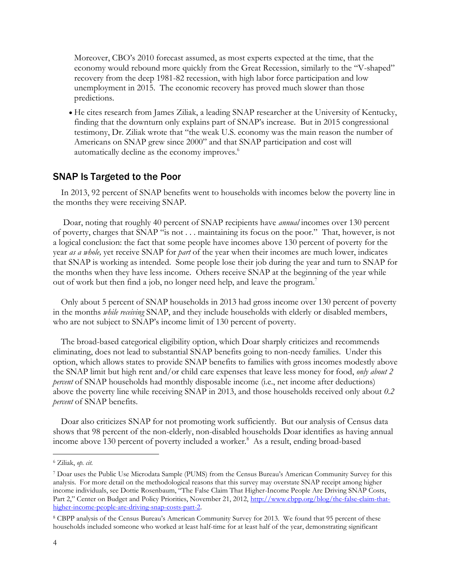Moreover, CBO's 2010 forecast assumed, as most experts expected at the time, that the economy would rebound more quickly from the Great Recession, similarly to the "V-shaped" recovery from the deep 1981-82 recession, with high labor force participation and low unemployment in 2015. The economic recovery has proved much slower than those predictions.

 He cites research from James Ziliak, a leading SNAP researcher at the University of Kentucky, finding that the downturn only explains part of SNAP's increase. But in 2015 congressional testimony, Dr. Ziliak wrote that "the weak U.S. economy was the main reason the number of Americans on SNAP grew since 2000" and that SNAP participation and cost will automatically decline as the economy improves.<sup>6</sup>

#### SNAP Is Targeted to the Poor

In 2013, 92 percent of SNAP benefits went to households with incomes below the poverty line in the months they were receiving SNAP.

Doar, noting that roughly 40 percent of SNAP recipients have *annual* incomes over 130 percent of poverty, charges that SNAP "is not . . . maintaining its focus on the poor." That, however, is not a logical conclusion: the fact that some people have incomes above 130 percent of poverty for the year *as a whole,* yet receive SNAP for *part* of the year when their incomes are much lower, indicates that SNAP is working as intended. Some people lose their job during the year and turn to SNAP for the months when they have less income. Others receive SNAP at the beginning of the year while out of work but then find a job, no longer need help, and leave the program.<sup>7</sup>

Only about 5 percent of SNAP households in 2013 had gross income over 130 percent of poverty in the months *while receiving* SNAP, and they include households with elderly or disabled members, who are not subject to SNAP's income limit of 130 percent of poverty.

The broad-based categorical eligibility option, which Doar sharply criticizes and recommends eliminating, does not lead to substantial SNAP benefits going to non-needy families. Under this option, which allows states to provide SNAP benefits to families with gross incomes modestly above the SNAP limit but high rent and/or child care expenses that leave less money for food, *only about 2 percent* of SNAP households had monthly disposable income (i.e., net income after deductions) above the poverty line while receiving SNAP in 2013, and those households received only about *0.2 percent* of SNAP benefits.

Doar also criticizes SNAP for not promoting work sufficiently. But our analysis of Census data shows that 98 percent of the non-elderly, non-disabled households Doar identifies as having annual income above 130 percent of poverty included a worker*.* <sup>8</sup> As a result, ending broad-based

<sup>6</sup> Ziliak, *op. cit.*

<sup>7</sup> Doar uses the Public Use Microdata Sample (PUMS) from the Census Bureau's American Community Survey for this analysis. For more detail on the methodological reasons that this survey may overstate SNAP receipt among higher income individuals, see Dottie Rosenbaum, "The False Claim That Higher-Income People Are Driving SNAP Costs, Part 2," Center on Budget and Policy Priorities, November 21, 2012, [http://www.cbpp.org/blog/the-false-claim-that](http://www.cbpp.org/blog/the-false-claim-that-higher-income-people-are-driving-snap-costs-part-2)[higher-income-people-are-driving-snap-costs-part-2.](http://www.cbpp.org/blog/the-false-claim-that-higher-income-people-are-driving-snap-costs-part-2)

<sup>8</sup> CBPP analysis of the Census Bureau's American Community Survey for 2013. We found that 95 percent of these households included someone who worked at least half-time for at least half of the year, demonstrating significant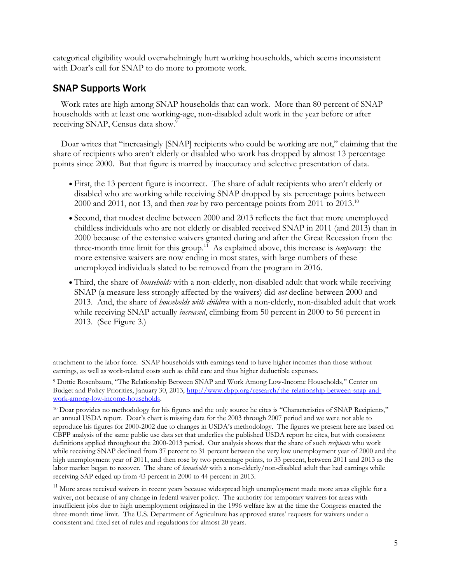categorical eligibility would overwhelmingly hurt working households, which seems inconsistent with Doar's call for SNAP to do more to promote work.

#### SNAP Supports Work

 $\overline{a}$ 

Work rates are high among SNAP households that can work. More than 80 percent of SNAP households with at least one working-age, non-disabled adult work in the year before or after receiving SNAP, Census data show.<sup>9</sup>

Doar writes that "increasingly [SNAP] recipients who could be working are not," claiming that the share of recipients who aren't elderly or disabled who work has dropped by almost 13 percentage points since 2000. But that figure is marred by inaccuracy and selective presentation of data.

- First, the 13 percent figure is incorrect. The share of adult recipients who aren't elderly or disabled who are working while receiving SNAP dropped by six percentage points between 2000 and 2011, not 13, and then *rose* by two percentage points from 2011 to 2013.<sup>10</sup>
- Second, that modest decline between 2000 and 2013 reflects the fact that more unemployed childless individuals who are not elderly or disabled received SNAP in 2011 (and 2013) than in 2000 because of the extensive waivers granted during and after the Great Recession from the three-month time limit for this group.<sup>11</sup> As explained above, this increase is *temporary*: the more extensive waivers are now ending in most states, with large numbers of these unemployed individuals slated to be removed from the program in 2016.
- Third, the share of *households* with a non-elderly, non-disabled adult that work while receiving SNAP (a measure less strongly affected by the waivers) did *not* decline between 2000 and 2013. And, the share of *households with children* with a non-elderly, non-disabled adult that work while receiving SNAP actually *increased*, climbing from 50 percent in 2000 to 56 percent in 2013. (See Figure 3.)

attachment to the labor force. SNAP households with earnings tend to have higher incomes than those without earnings, as well as work-related costs such as child care and thus higher deductible expenses.

<sup>9</sup> Dottie Rosenbaum, "The Relationship Between SNAP and Work Among Low-Income Households," Center on Budget and Policy Priorities, January 30, 2013, [http://www.cbpp.org/research/the-relationship-between-snap-and](http://www.cbpp.org/research/the-relationship-between-snap-and-work-among-low-income-households)[work-among-low-income-households.](http://www.cbpp.org/research/the-relationship-between-snap-and-work-among-low-income-households) 

<sup>&</sup>lt;sup>10</sup> Doar provides no methodology for his figures and the only source he cites is "Characteristics of SNAP Recipients," an annual USDA report. Doar's chart is missing data for the 2003 through 2007 period and we were not able to reproduce his figures for 2000-2002 due to changes in USDA's methodology. The figures we present here are based on CBPP analysis of the same public use data set that underlies the published USDA report he cites, but with consistent definitions applied throughout the 2000-2013 period. Our analysis shows that the share of such *recipients* who work while receiving SNAP declined from 37 percent to 31 percent between the very low unemployment year of 2000 and the high unemployment year of 2011, and then rose by two percentage points, to 33 percent, between 2011 and 2013 as the labor market began to recover. The share of *households* with a non-elderly/non-disabled adult that had earnings while receiving SAP edged up from 43 percent in 2000 to 44 percent in 2013.

 $11$  More areas received waivers in recent years because widespread high unemployment made more areas eligible for a waiver, not because of any change in federal waiver policy. The authority for temporary waivers for areas with insufficient jobs due to high unemployment originated in the 1996 welfare law at the time the Congress enacted the three-month time limit. The U.S. Department of Agriculture has approved states' requests for waivers under a consistent and fixed set of rules and regulations for almost 20 years.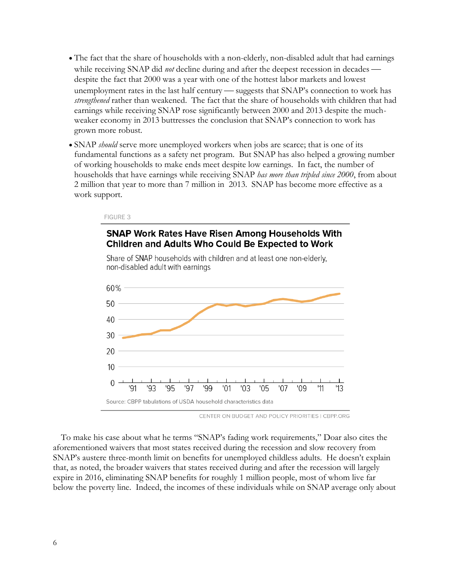- The fact that the share of households with a non-elderly, non-disabled adult that had earnings while receiving SNAP did *not* decline during and after the deepest recession in decades despite the fact that 2000 was a year with one of the hottest labor markets and lowest unemployment rates in the last half century — suggests that SNAP's connection to work has *strengthened* rather than weakened. The fact that the share of households with children that had earnings while receiving SNAP rose significantly between 2000 and 2013 despite the muchweaker economy in 2013 buttresses the conclusion that SNAP's connection to work has grown more robust.
- SNAP *should* serve more unemployed workers when jobs are scarce; that is one of its fundamental functions as a safety net program. But SNAP has also helped a growing number of working households to make ends meet despite low earnings. In fact, the number of households that have earnings while receiving SNAP *has more than tripled since 2000*, from about 2 million that year to more than 7 million in 2013. SNAP has become more effective as a work support.

#### FIGURE 3

#### **SNAP Work Rates Have Risen Among Households With Children and Adults Who Could Be Expected to Work**



Share of SNAP households with children and at least one non-elderly, non-disabled adult with earnings

CENTER ON BUDGET AND POLICY PRIORITIES | CBPP.ORG

To make his case about what he terms "SNAP's fading work requirements," Doar also cites the aforementioned waivers that most states received during the recession and slow recovery from SNAP's austere three-month limit on benefits for unemployed childless adults. He doesn't explain that, as noted, the broader waivers that states received during and after the recession will largely expire in 2016, eliminating SNAP benefits for roughly 1 million people, most of whom live far below the poverty line. Indeed, the incomes of these individuals while on SNAP average only about